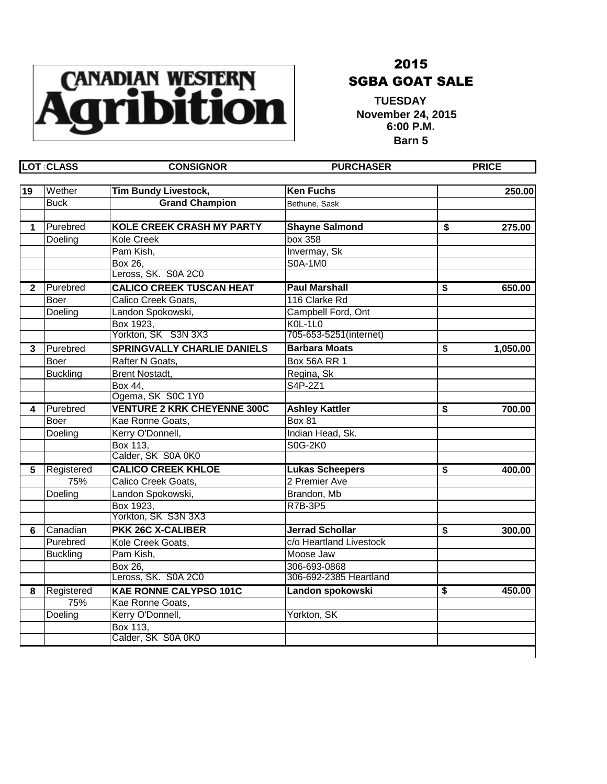

## 2015 SGBA GOAT SALE

 **TUESDAY 10ESDAT**<br>November 24, 2015 **6:00 P.M. Barn 5**

|                         | <b>LOT CLASS</b> | <b>CONSIGNOR</b>                   | <b>PURCHASER</b>        | <b>PRICE</b>   |
|-------------------------|------------------|------------------------------------|-------------------------|----------------|
| 19                      | Wether           | <b>Tim Bundy Livestock,</b>        | <b>Ken Fuchs</b>        | 250.00         |
|                         | <b>Buck</b>      | <b>Grand Champion</b>              | Bethune, Sask           |                |
| 1                       | Purebred         | <b>KOLE CREEK CRASH MY PARTY</b>   | <b>Shayne Salmond</b>   | \$<br>275.00   |
|                         | Doeling          | <b>Kole Creek</b>                  | box 358                 |                |
|                         |                  | Pam Kish,                          | Invermay, Sk            |                |
|                         |                  | Box 26,                            | S0A-1M0                 |                |
|                         |                  | Leross, SK. S0A 2C0                |                         |                |
| $\mathbf{2}$            | Purebred         | <b>CALICO CREEK TUSCAN HEAT</b>    | <b>Paul Marshall</b>    | \$<br>650.00   |
|                         | Boer             | Calico Creek Goats,                | 116 Clarke Rd           |                |
|                         | Doeling          | Landon Spokowski,                  | Campbell Ford, Ont      |                |
|                         |                  | Box 1923,                          | $KOL-1LO$               |                |
|                         |                  | Yorkton, SK S3N 3X3                | 705-653-5251(internet)  |                |
| $\overline{\mathbf{3}}$ | Purebred         | <b>SPRINGVALLY CHARLIE DANIELS</b> | <b>Barbara Moats</b>    | \$<br>1,050.00 |
|                         | Boer             | Rafter N Goats,                    | <b>Box 56A RR 1</b>     |                |
|                         | <b>Buckling</b>  | <b>Brent Nostadt,</b>              | Regina, Sk              |                |
|                         |                  | Box 44.                            | S4P-2Z1                 |                |
|                         |                  | Ogema, SK S0C 1Y0                  |                         |                |
| 4                       | Purebred         | <b>VENTURE 2 KRK CHEYENNE 300C</b> | <b>Ashley Kattler</b>   | \$<br>700.00   |
|                         | Boer             | Kae Ronne Goats,                   | Box 81                  |                |
|                         | Doeling          | Kerry O'Donnell,                   | Indian Head, Sk.        |                |
|                         |                  | Box 113,                           | S0G-2K0                 |                |
|                         |                  | Calder, SK S0A 0K0                 |                         |                |
| 5                       | Registered       | <b>CALICO CREEK KHLOE</b>          | <b>Lukas Scheepers</b>  | \$<br>400.00   |
|                         | 75%              | Calico Creek Goats,                | 2 Premier Ave           |                |
|                         | Doeling          | Landon Spokowski,                  | Brandon, Mb             |                |
|                         |                  | Box 1923,                          | R7B-3P5                 |                |
|                         |                  | Yorkton, SK S3N 3X3                |                         |                |
| 6                       | Canadian         | <b>PKK 26C X-CALIBER</b>           | <b>Jerrad Schollar</b>  | \$<br>300.00   |
|                         | Purebred         | Kole Creek Goats,                  | c/o Heartland Livestock |                |
|                         | <b>Buckling</b>  | Pam Kish,                          | Moose Jaw               |                |
|                         |                  | Box 26,                            | 306-693-0868            |                |
|                         |                  | Leross, SK. S0A 2C0                | 306-692-2385 Heartland  |                |
| 8                       | Registered       | <b>KAE RONNE CALYPSO 101C</b>      | Landon spokowski        | \$<br>450.00   |
|                         | 75%              | Kae Ronne Goats,                   |                         |                |
|                         | Doeling          | Kerry O'Donnell,                   | Yorkton, SK             |                |
|                         |                  | Box 113,                           |                         |                |
|                         |                  | Calder, SK S0A 0K0                 |                         |                |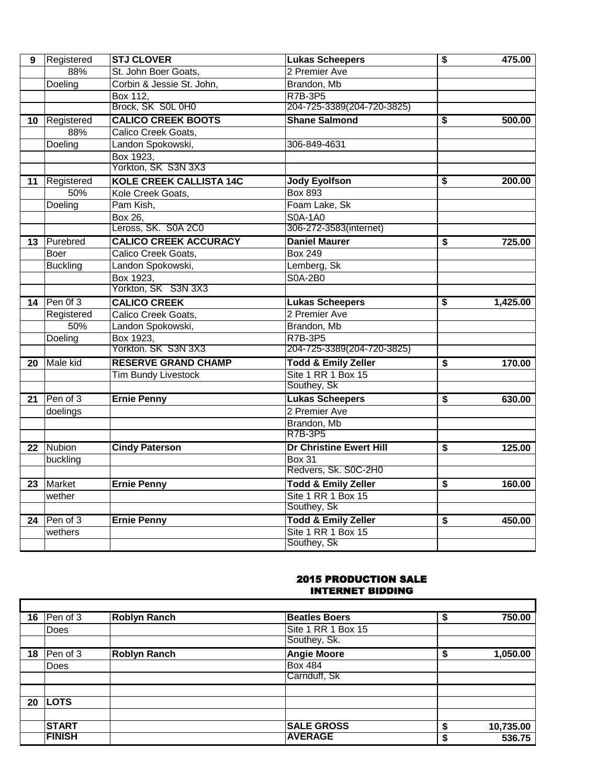| $\overline{9}$ | Registered      | <b>STJ CLOVER</b>              | <b>Lukas Scheepers</b>         | \$                                   | 475.00   |
|----------------|-----------------|--------------------------------|--------------------------------|--------------------------------------|----------|
|                | 88%             | St. John Boer Goats,           | 2 Premier Ave                  |                                      |          |
|                | Doeling         | Corbin & Jessie St. John,      | Brandon, Mb                    |                                      |          |
|                |                 | Box 112,                       | <b>R7B-3P5</b>                 |                                      |          |
|                |                 | Brock, SK S0L 0H0              | 204-725-3389(204-720-3825)     |                                      |          |
| 10             | Registered      | <b>CALICO CREEK BOOTS</b>      | <b>Shane Salmond</b>           | \$                                   | 500.00   |
|                | 88%             | Calico Creek Goats,            |                                |                                      |          |
|                | Doeling         | Landon Spokowski,              | 306-849-4631                   |                                      |          |
|                |                 | Box 1923,                      |                                |                                      |          |
|                |                 | Yorkton, SK S3N 3X3            |                                |                                      |          |
| 11             | Registered      | <b>KOLE CREEK CALLISTA 14C</b> | <b>Jody Eyolfson</b>           | \$                                   | 200.00   |
|                | 50%             | Kole Creek Goats,              | <b>Box 893</b>                 |                                      |          |
|                | Doeling         | Pam Kish,                      | Foam Lake, Sk                  |                                      |          |
|                |                 | Box 26.                        | <b>S0A-1A0</b>                 |                                      |          |
|                |                 | Leross, SK. S0A 2C0            | 306-272-3583(internet)         |                                      |          |
| 13             | Purebred        | <b>CALICO CREEK ACCURACY</b>   | <b>Daniel Maurer</b>           | \$                                   | 725.00   |
|                | Boer            | Calico Creek Goats,            | <b>Box 249</b>                 |                                      |          |
|                | <b>Buckling</b> | Landon Spokowski,              | Lemberg, Sk                    |                                      |          |
|                |                 | Box 1923,                      | <b>S0A-2B0</b>                 |                                      |          |
|                |                 | Yorkton, SK S3N 3X3            |                                |                                      |          |
| 14             | Pen 0f 3        | <b>CALICO CREEK</b>            | <b>Lukas Scheepers</b>         | \$                                   | 1,425.00 |
|                | Registered      | Calico Creek Goats,            | 2 Premier Ave                  |                                      |          |
|                | 50%             | Landon Spokowski,              | Brandon, Mb                    |                                      |          |
|                | Doeling         | Box 1923,                      | <b>R7B-3P5</b>                 |                                      |          |
|                |                 | Yorkton. SK S3N 3X3            | 204-725-3389(204-720-3825)     |                                      |          |
| 20             | Male kid        | <b>RESERVE GRAND CHAMP</b>     | <b>Todd &amp; Emily Zeller</b> | \$                                   | 170.00   |
|                |                 | Tim Bundy Livestock            | Site 1 RR 1 Box 15             |                                      |          |
|                |                 |                                | Southey, Sk                    |                                      |          |
| 21             | Pen of 3        | <b>Ernie Penny</b>             | <b>Lukas Scheepers</b>         | \$                                   | 630.00   |
|                | doelings        |                                | 2 Premier Ave                  |                                      |          |
|                |                 |                                | Brandon, Mb                    |                                      |          |
|                |                 |                                | <b>R7B-3P5</b>                 |                                      |          |
| 22             | Nubion          | <b>Cindy Paterson</b>          | <b>Dr Christine Ewert Hill</b> | \$                                   | 125.00   |
|                | buckling        |                                | <b>Box 31</b>                  |                                      |          |
|                |                 |                                | Redvers, Sk. S0C-2H0           |                                      |          |
| 23             | Market          | <b>Ernie Penny</b>             | <b>Todd &amp; Emily Zeller</b> | $\overline{\boldsymbol{\mathsf{s}}}$ | 160.00   |
|                | wether          |                                | Site 1 RR 1 Box 15             |                                      |          |
|                |                 |                                | Southey, Sk                    |                                      |          |
| 24             | Pen of 3        | <b>Ernie Penny</b>             | <b>Todd &amp; Emily Zeller</b> | $\overline{\boldsymbol{\mathsf{s}}}$ | 450.00   |
|                | wethers         |                                | Site 1 RR 1 Box 15             |                                      |          |
|                |                 |                                | Southey, Sk                    |                                      |          |

## 2015 PRODUCTION SALE INTERNET BIDDING

| 16 | Pen of 3      | <b>Roblyn Ranch</b> | <b>Beatles Boers</b> | \$ | 750.00    |
|----|---------------|---------------------|----------------------|----|-----------|
|    | <b>Does</b>   |                     | Site 1 RR 1 Box 15   |    |           |
|    |               |                     | Southey, Sk.         |    |           |
| 18 | Pen of 3      | <b>Roblyn Ranch</b> | <b>Angie Moore</b>   | S  | 1,050.00  |
|    | <b>Does</b>   |                     | <b>Box 484</b>       |    |           |
|    |               |                     | Carnduff, Sk         |    |           |
| 20 | <b>LOTS</b>   |                     |                      |    |           |
|    |               |                     |                      |    |           |
|    | <b>START</b>  |                     | <b>SALE GROSS</b>    | S  | 10,735.00 |
|    | <b>FINISH</b> |                     | <b>AVERAGE</b>       | æ  | 536.75    |